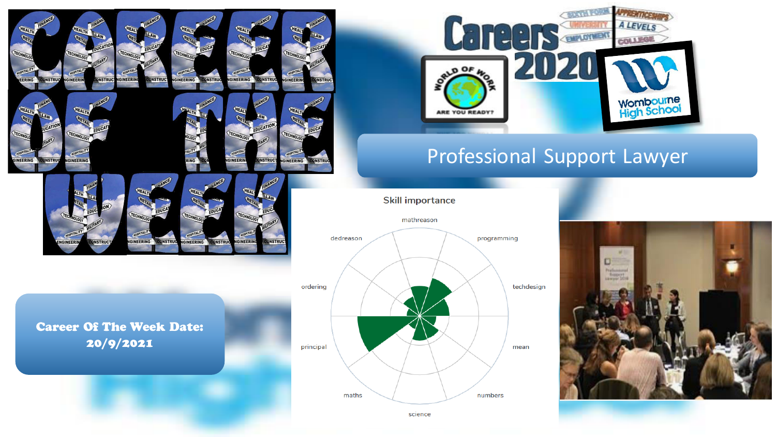

**GINEERING** 

**DNSTRU** 



**DNSTRUC** 



# Professional Support Lawyer

#### **Skill importance**



science

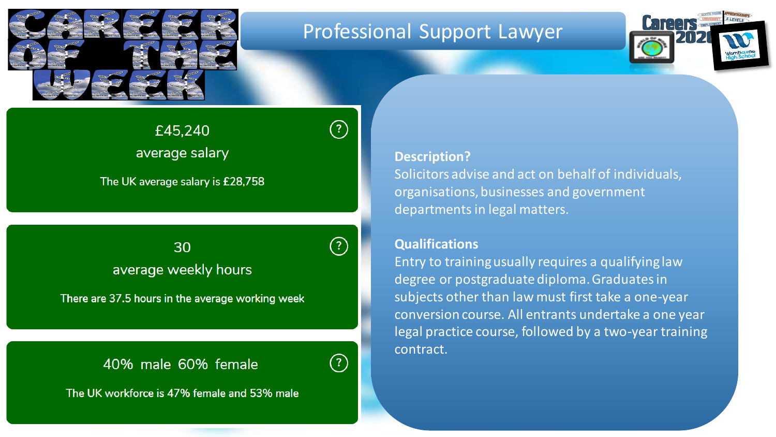

# Professional Support Lawyer



average salary

The UK average salary is £28,758

 $\mathbf{I}_{\mathbf{S}}$  avert ava $\mathbf{I}_{\mathbf{S}}$  hours and male $\mathbf{I}_{\mathbf{S}}$  hours and male $\mathbf{I}_{\mathbf{S}}$ average weekly hours

There are 37.5 hours in the average working week

### 40% male 60% female



 $\circled{?}$ 

 $\circledR$ 

The UK workforce is 47% female and 53% male

#### **Description?**

Solicitors advise and act on behalf of individuals, organisations, businesses and government departments in legal matters.

### **Qualifications**

Entry to training usually requires a qualifying law degree or postgraduate diploma. Graduates in subjects other than law must first take a one-year conversion course. All entrants undertake a one year legal practice course, followed by a two-year training contract.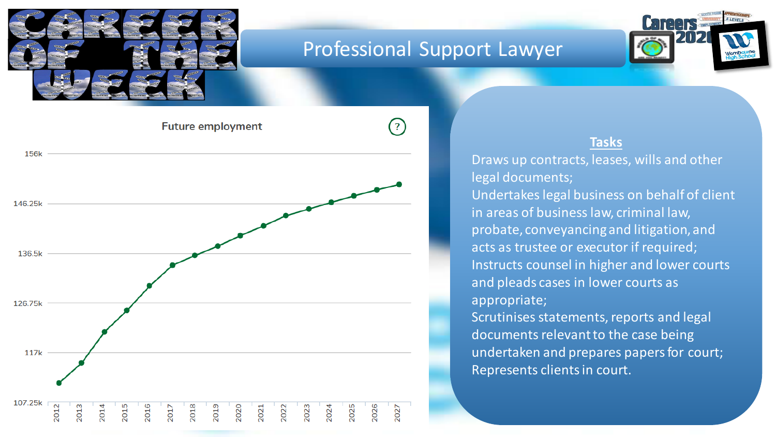

156k

# Professional Support Lawyer

 $(?)$ 



**Future employment** 



### **Tasks**

Draws up contracts, leases, wills and other legal documents; Undertakes legal business on behalf of client in areas of business law, criminal law, probate, conveyancing and litigation, and acts as trustee or executor if required; Instructs counsel in higher and lower courts and pleads cases in lower courts as appropriate;

Scrutinises statements, reports and legal documents relevant to the case being undertaken and prepares papers for court; Represents clients in court.